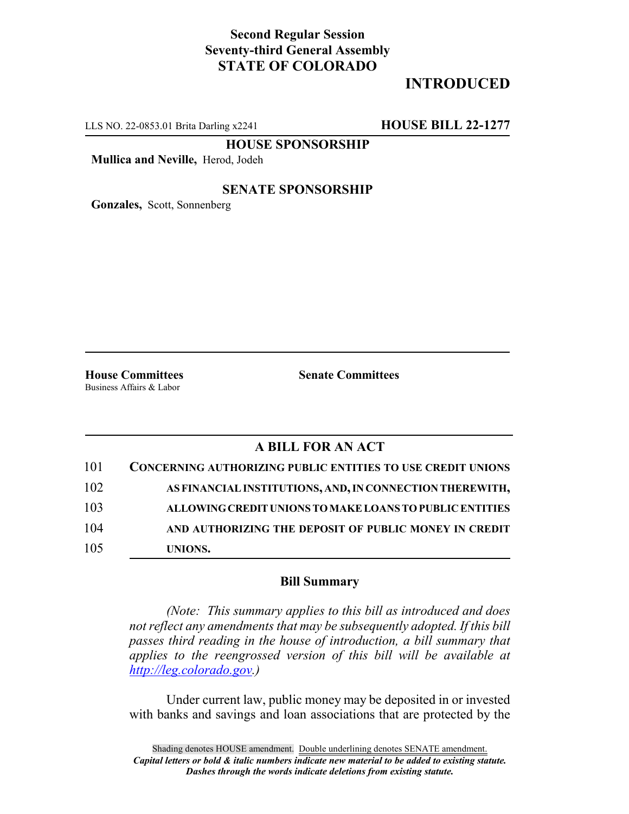### **Second Regular Session Seventy-third General Assembly STATE OF COLORADO**

## **INTRODUCED**

LLS NO. 22-0853.01 Brita Darling x2241 **HOUSE BILL 22-1277**

**HOUSE SPONSORSHIP**

**Mullica and Neville,** Herod, Jodeh

#### **SENATE SPONSORSHIP**

**Gonzales,** Scott, Sonnenberg

Business Affairs & Labor

**House Committees Senate Committees**

#### **A BILL FOR AN ACT**

| 101 | <b>CONCERNING AUTHORIZING PUBLIC ENTITIES TO USE CREDIT UNIONS</b> |
|-----|--------------------------------------------------------------------|
| 102 | AS FINANCIAL INSTITUTIONS, AND, IN CONNECTION THEREWITH,           |
| 103 | ALLOWING CREDIT UNIONS TO MAKE LOANS TO PUBLIC ENTITIES            |
| 104 | AND AUTHORIZING THE DEPOSIT OF PUBLIC MONEY IN CREDIT              |
| 105 | UNIONS.                                                            |

#### **Bill Summary**

*(Note: This summary applies to this bill as introduced and does not reflect any amendments that may be subsequently adopted. If this bill passes third reading in the house of introduction, a bill summary that applies to the reengrossed version of this bill will be available at http://leg.colorado.gov.)*

Under current law, public money may be deposited in or invested with banks and savings and loan associations that are protected by the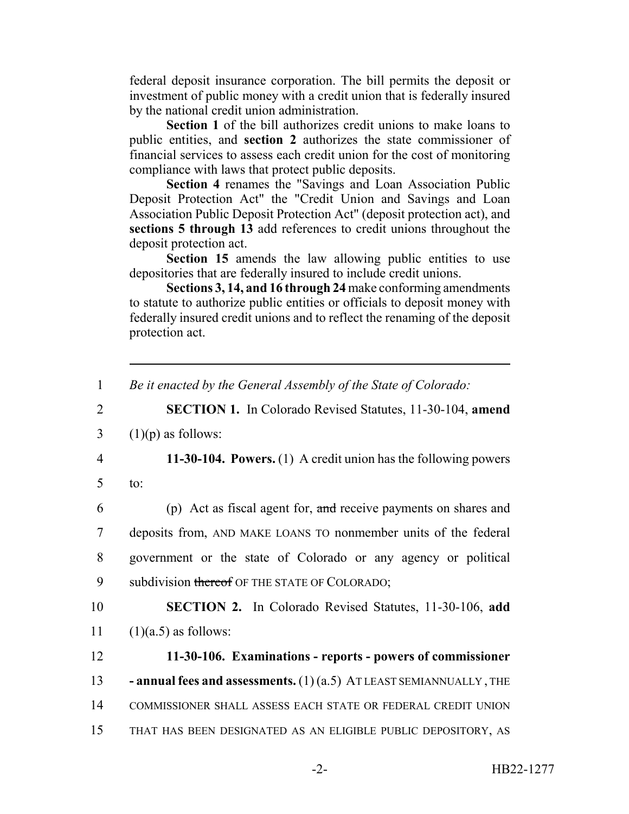federal deposit insurance corporation. The bill permits the deposit or investment of public money with a credit union that is federally insured by the national credit union administration.

**Section 1** of the bill authorizes credit unions to make loans to public entities, and **section 2** authorizes the state commissioner of financial services to assess each credit union for the cost of monitoring compliance with laws that protect public deposits.

**Section 4** renames the "Savings and Loan Association Public Deposit Protection Act" the "Credit Union and Savings and Loan Association Public Deposit Protection Act" (deposit protection act), and **sections 5 through 13** add references to credit unions throughout the deposit protection act.

Section 15 amends the law allowing public entities to use depositories that are federally insured to include credit unions.

**Sections 3, 14, and 16 through 24** make conforming amendments to statute to authorize public entities or officials to deposit money with federally insured credit unions and to reflect the renaming of the deposit protection act.

1 *Be it enacted by the General Assembly of the State of Colorado:*

2 **SECTION 1.** In Colorado Revised Statutes, 11-30-104, **amend**

3  $(1)(p)$  as follows:

4 **11-30-104. Powers.** (1) A credit union has the following powers

5 to:

 (p) Act as fiscal agent for, and receive payments on shares and deposits from, AND MAKE LOANS TO nonmember units of the federal government or the state of Colorado or any agency or political 9 subdivision thereof OF THE STATE OF COLORADO;

10 **SECTION 2.** In Colorado Revised Statutes, 11-30-106, **add** 11  $(1)(a.5)$  as follows:

 **11-30-106. Examinations - reports - powers of commissioner - annual fees and assessments.** (1) (a.5) AT LEAST SEMIANNUALLY, THE COMMISSIONER SHALL ASSESS EACH STATE OR FEDERAL CREDIT UNION THAT HAS BEEN DESIGNATED AS AN ELIGIBLE PUBLIC DEPOSITORY, AS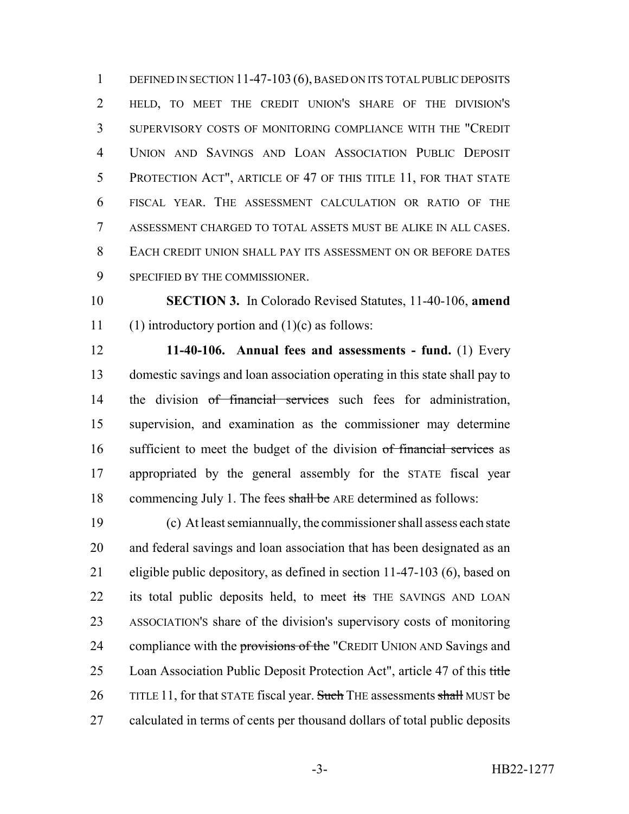1 DEFINED IN SECTION 11-47-103 (6), BASED ON ITS TOTAL PUBLIC DEPOSITS HELD, TO MEET THE CREDIT UNION'S SHARE OF THE DIVISION'S SUPERVISORY COSTS OF MONITORING COMPLIANCE WITH THE "CREDIT UNION AND SAVINGS AND LOAN ASSOCIATION PUBLIC DEPOSIT 5 PROTECTION ACT", ARTICLE OF 47 OF THIS TITLE 11, FOR THAT STATE FISCAL YEAR. THE ASSESSMENT CALCULATION OR RATIO OF THE ASSESSMENT CHARGED TO TOTAL ASSETS MUST BE ALIKE IN ALL CASES. EACH CREDIT UNION SHALL PAY ITS ASSESSMENT ON OR BEFORE DATES SPECIFIED BY THE COMMISSIONER.

 **SECTION 3.** In Colorado Revised Statutes, 11-40-106, **amend** 11 (1) introductory portion and  $(1)(c)$  as follows:

 **11-40-106. Annual fees and assessments - fund.** (1) Every domestic savings and loan association operating in this state shall pay to 14 the division of financial services such fees for administration, supervision, and examination as the commissioner may determine 16 sufficient to meet the budget of the division of financial services as appropriated by the general assembly for the STATE fiscal year 18 commencing July 1. The fees shall be ARE determined as follows:

 (c) At least semiannually, the commissioner shall assess each state and federal savings and loan association that has been designated as an eligible public depository, as defined in section 11-47-103 (6), based on 22 its total public deposits held, to meet its THE SAVINGS AND LOAN ASSOCIATION'S share of the division's supervisory costs of monitoring 24 compliance with the provisions of the "CREDIT UNION AND Savings and 25 Loan Association Public Deposit Protection Act", article 47 of this title 26 TITLE 11, for that STATE fiscal year. Such THE assessments shall MUST be calculated in terms of cents per thousand dollars of total public deposits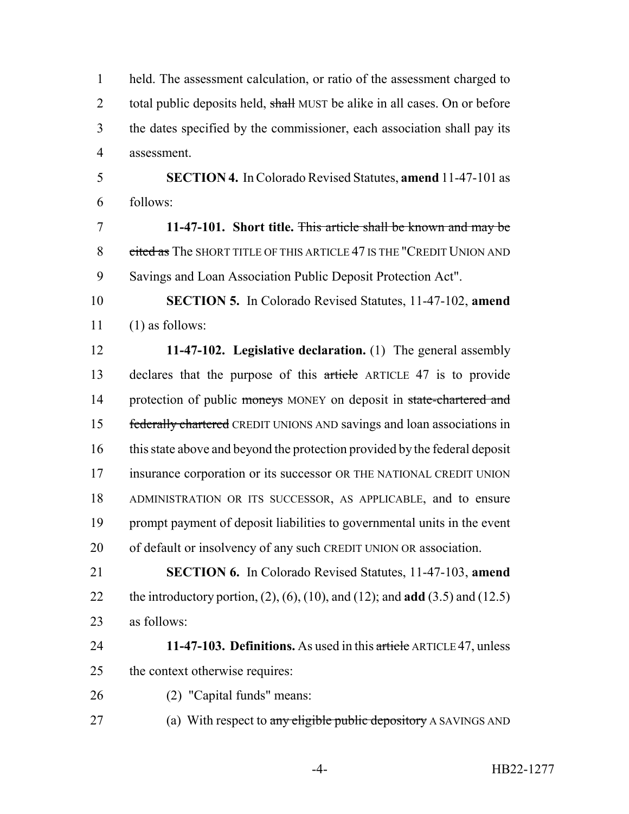held. The assessment calculation, or ratio of the assessment charged to 2 total public deposits held, shall MUST be alike in all cases. On or before the dates specified by the commissioner, each association shall pay its assessment.

 **SECTION 4.** In Colorado Revised Statutes, **amend** 11-47-101 as follows:

 **11-47-101. Short title.** This article shall be known and may be 8 cited as The SHORT TITLE OF THIS ARTICLE 47 IS THE "CREDIT UNION AND Savings and Loan Association Public Deposit Protection Act".

 **SECTION 5.** In Colorado Revised Statutes, 11-47-102, **amend** (1) as follows:

 **11-47-102. Legislative declaration.** (1) The general assembly 13 declares that the purpose of this article ARTICLE 47 is to provide 14 protection of public moneys MONEY on deposit in state-chartered and 15 federally chartered CREDIT UNIONS AND savings and loan associations in this state above and beyond the protection provided by the federal deposit insurance corporation or its successor OR THE NATIONAL CREDIT UNION ADMINISTRATION OR ITS SUCCESSOR, AS APPLICABLE, and to ensure prompt payment of deposit liabilities to governmental units in the event of default or insolvency of any such CREDIT UNION OR association.

 **SECTION 6.** In Colorado Revised Statutes, 11-47-103, **amend** the introductory portion, (2), (6), (10), and (12); and **add** (3.5) and (12.5) as follows:

 **11-47-103. Definitions.** As used in this article ARTICLE 47, unless the context otherwise requires:

- (2) "Capital funds" means:
- 27 (a) With respect to any eligible public depository A SAVINGS AND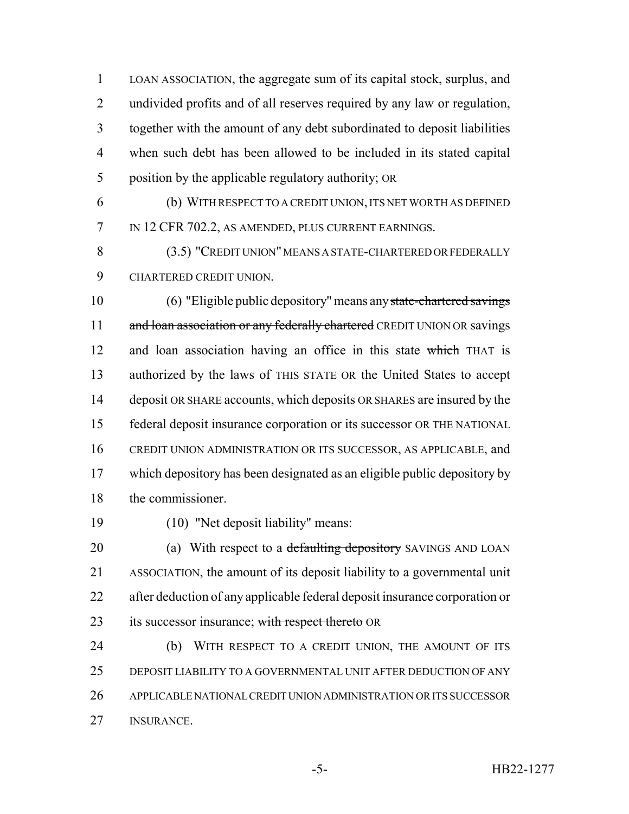LOAN ASSOCIATION, the aggregate sum of its capital stock, surplus, and undivided profits and of all reserves required by any law or regulation, together with the amount of any debt subordinated to deposit liabilities when such debt has been allowed to be included in its stated capital position by the applicable regulatory authority; OR

 (b) WITH RESPECT TO A CREDIT UNION, ITS NET WORTH AS DEFINED 7 IN 12 CFR 702.2, AS AMENDED, PLUS CURRENT EARNINGS.

 (3.5) "CREDIT UNION" MEANS A STATE-CHARTERED OR FEDERALLY CHARTERED CREDIT UNION.

 (6) "Eligible public depository" means any state-chartered savings 11 and loan association or any federally chartered CREDIT UNION OR savings 12 and loan association having an office in this state which THAT is authorized by the laws of THIS STATE OR the United States to accept deposit OR SHARE accounts, which deposits OR SHARES are insured by the federal deposit insurance corporation or its successor OR THE NATIONAL CREDIT UNION ADMINISTRATION OR ITS SUCCESSOR, AS APPLICABLE, and which depository has been designated as an eligible public depository by the commissioner.

(10) "Net deposit liability" means:

20 (a) With respect to a defaulting depository SAVINGS AND LOAN ASSOCIATION, the amount of its deposit liability to a governmental unit after deduction of any applicable federal deposit insurance corporation or 23 its successor insurance; with respect thereto OR

 (b) WITH RESPECT TO A CREDIT UNION, THE AMOUNT OF ITS DEPOSIT LIABILITY TO A GOVERNMENTAL UNIT AFTER DEDUCTION OF ANY APPLICABLE NATIONAL CREDIT UNION ADMINISTRATION OR ITS SUCCESSOR INSURANCE.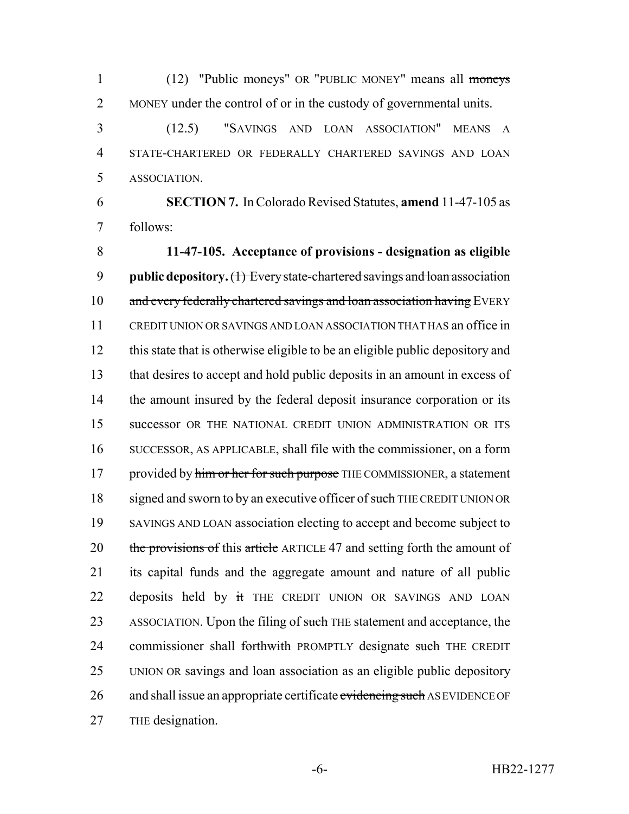(12) "Public moneys" OR "PUBLIC MONEY" means all moneys MONEY under the control of or in the custody of governmental units.

 (12.5) "SAVINGS AND LOAN ASSOCIATION" MEANS A STATE-CHARTERED OR FEDERALLY CHARTERED SAVINGS AND LOAN ASSOCIATION.

 **SECTION 7.** In Colorado Revised Statutes, **amend** 11-47-105 as follows:

 **11-47-105. Acceptance of provisions - designation as eligible public depository.** (1) Every state-chartered savings and loan association 10 and every federally chartered savings and loan association having EVERY CREDIT UNION OR SAVINGS AND LOAN ASSOCIATION THAT HAS an office in this state that is otherwise eligible to be an eligible public depository and that desires to accept and hold public deposits in an amount in excess of 14 the amount insured by the federal deposit insurance corporation or its successor OR THE NATIONAL CREDIT UNION ADMINISTRATION OR ITS SUCCESSOR, AS APPLICABLE, shall file with the commissioner, on a form 17 provided by him or her for such purpose THE COMMISSIONER, a statement 18 signed and sworn to by an executive officer of such THE CREDIT UNION OR SAVINGS AND LOAN association electing to accept and become subject to 20 the provisions of this article ARTICLE 47 and setting forth the amount of its capital funds and the aggregate amount and nature of all public 22 deposits held by it THE CREDIT UNION OR SAVINGS AND LOAN 23 ASSOCIATION. Upon the filing of such THE statement and acceptance, the 24 commissioner shall forthwith PROMPTLY designate such THE CREDIT UNION OR savings and loan association as an eligible public depository 26 and shall issue an appropriate certificate evidencing such AS EVIDENCE OF THE designation.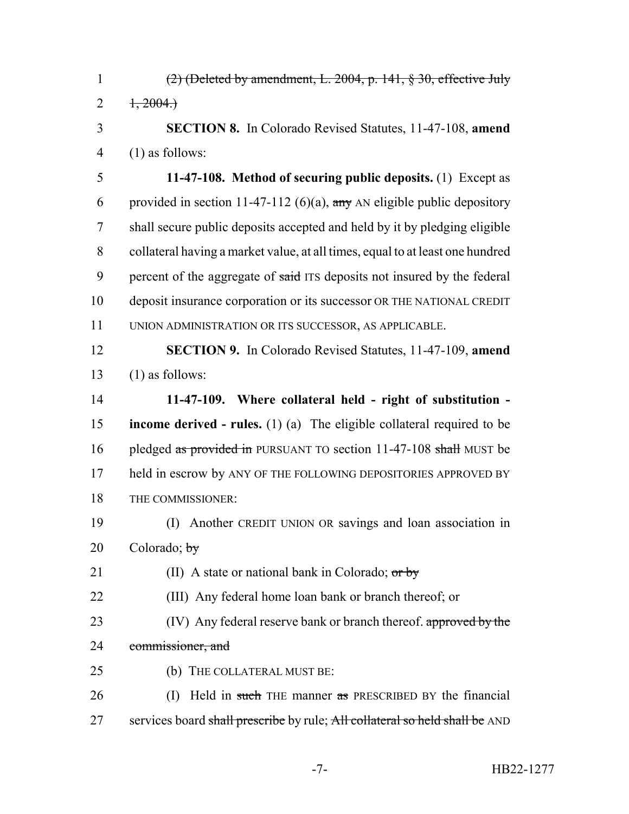$(2)$  (Deleted by amendment, L. 2004, p. 141, § 30, effective July 2  $1, 2004.$  **SECTION 8.** In Colorado Revised Statutes, 11-47-108, **amend** (1) as follows: **11-47-108. Method of securing public deposits.** (1) Except as 6 provided in section 11-47-112 (6)(a),  $\frac{any}{any}$  AN eligible public depository shall secure public deposits accepted and held by it by pledging eligible collateral having a market value, at all times, equal to at least one hundred 9 percent of the aggregate of said ITS deposits not insured by the federal deposit insurance corporation or its successor OR THE NATIONAL CREDIT UNION ADMINISTRATION OR ITS SUCCESSOR, AS APPLICABLE. **SECTION 9.** In Colorado Revised Statutes, 11-47-109, **amend**  $(1)$  as follows: **11-47-109. Where collateral held - right of substitution - income derived - rules.** (1) (a) The eligible collateral required to be 16 pledged as provided in PURSUANT TO section 11-47-108 shall MUST be 17 held in escrow by ANY OF THE FOLLOWING DEPOSITORIES APPROVED BY THE COMMISSIONER: (I) Another CREDIT UNION OR savings and loan association in Colorado;  $\frac{1}{2}$ 21 (II) A state or national bank in Colorado;  $or by$  (III) Any federal home loan bank or branch thereof; or 23 (IV) Any federal reserve bank or branch thereof. approved by the 24 commissioner, and (b) THE COLLATERAL MUST BE: 26 (I) Held in such THE manner as PRESCRIBED BY the financial 27 services board shall prescribe by rule; All collateral so held shall be AND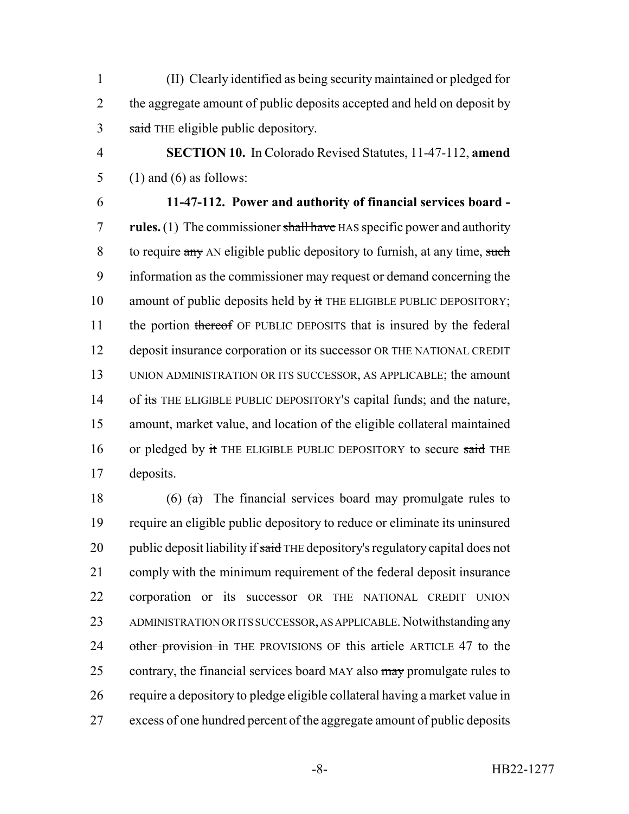1 (II) Clearly identified as being security maintained or pledged for 2 the aggregate amount of public deposits accepted and held on deposit by 3 said THE eligible public depository.

4 **SECTION 10.** In Colorado Revised Statutes, 11-47-112, **amend** 5 (1) and (6) as follows:

6 **11-47-112. Power and authority of financial services board -** 7 **rules.** (1) The commissioner shall have HAS specific power and authority 8 to require any AN eligible public depository to furnish, at any time, such 9 information as the commissioner may request or demand concerning the 10 amount of public deposits held by  $\frac{1}{11}$  THE ELIGIBLE PUBLIC DEPOSITORY; 11 the portion thereof OF PUBLIC DEPOSITS that is insured by the federal 12 deposit insurance corporation or its successor OR THE NATIONAL CREDIT 13 UNION ADMINISTRATION OR ITS SUCCESSOR, AS APPLICABLE; the amount 14 of its THE ELIGIBLE PUBLIC DEPOSITORY'S capital funds; and the nature, 15 amount, market value, and location of the eligible collateral maintained 16 or pledged by it THE ELIGIBLE PUBLIC DEPOSITORY to secure said THE 17 deposits.

18 (6)  $\left(\frac{a}{b}\right)$  The financial services board may promulgate rules to 19 require an eligible public depository to reduce or eliminate its uninsured 20 public deposit liability if said THE depository's regulatory capital does not 21 comply with the minimum requirement of the federal deposit insurance 22 corporation or its successor OR THE NATIONAL CREDIT UNION 23 ADMINISTRATION OR ITS SUCCESSOR, AS APPLICABLE. Notwithstanding any 24 other provision in THE PROVISIONS OF this article ARTICLE 47 to the 25 contrary, the financial services board MAY also  $\frac{m}{m}$  promulgate rules to 26 require a depository to pledge eligible collateral having a market value in 27 excess of one hundred percent of the aggregate amount of public deposits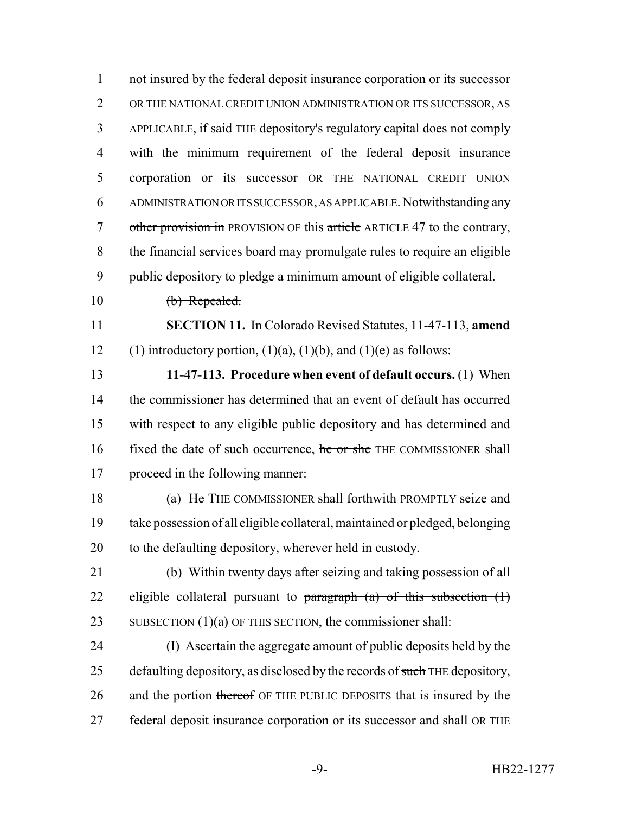1 not insured by the federal deposit insurance corporation or its successor 2 OR THE NATIONAL CREDIT UNION ADMINISTRATION OR ITS SUCCESSOR, AS 3 APPLICABLE, if said THE depository's regulatory capital does not comply 4 with the minimum requirement of the federal deposit insurance 5 corporation or its successor OR THE NATIONAL CREDIT UNION 6 ADMINISTRATION OR ITS SUCCESSOR, AS APPLICABLE. Notwithstanding any 7 other provision in PROVISION OF this article ARTICLE 47 to the contrary, 8 the financial services board may promulgate rules to require an eligible 9 public depository to pledge a minimum amount of eligible collateral. 10 (b) Repealed. 11 **SECTION 11.** In Colorado Revised Statutes, 11-47-113, **amend** 12 (1) introductory portion,  $(1)(a)$ ,  $(1)(b)$ , and  $(1)(e)$  as follows: 13 **11-47-113. Procedure when event of default occurs.** (1) When 14 the commissioner has determined that an event of default has occurred 15 with respect to any eligible public depository and has determined and 16 fixed the date of such occurrence, he or she THE COMMISSIONER shall 17 proceed in the following manner: 18 (a) He THE COMMISSIONER shall forthwith PROMPTLY seize and 19 take possession of all eligible collateral, maintained or pledged, belonging 20 to the defaulting depository, wherever held in custody. 21 (b) Within twenty days after seizing and taking possession of all 22 eligible collateral pursuant to  $\frac{\partial}{\partial x}$  (a) of this subsection (1) 23 SUBSECTION (1)(a) OF THIS SECTION, the commissioner shall: 24 (I) Ascertain the aggregate amount of public deposits held by the 25 defaulting depository, as disclosed by the records of such THE depository, 26 and the portion thereof OF THE PUBLIC DEPOSITS that is insured by the 27 federal deposit insurance corporation or its successor and shall OR THE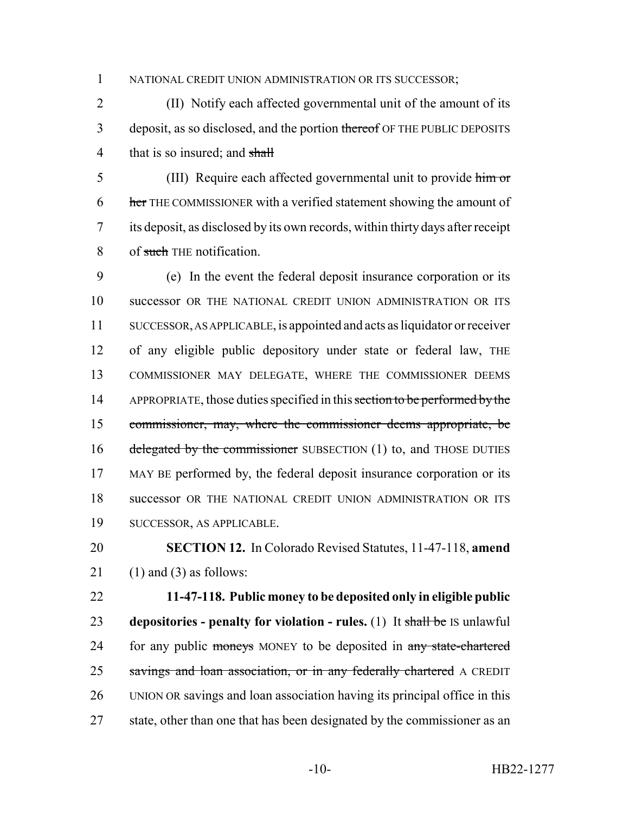NATIONAL CREDIT UNION ADMINISTRATION OR ITS SUCCESSOR;

 (II) Notify each affected governmental unit of the amount of its 3 deposit, as so disclosed, and the portion thereof OF THE PUBLIC DEPOSITS 4 that is so insured; and shall

 (III) Require each affected governmental unit to provide him or 6 her THE COMMISSIONER with a verified statement showing the amount of its deposit, as disclosed by its own records, within thirty days after receipt 8 of such THE notification.

 (e) In the event the federal deposit insurance corporation or its successor OR THE NATIONAL CREDIT UNION ADMINISTRATION OR ITS SUCCESSOR, AS APPLICABLE, is appointed and acts as liquidator or receiver of any eligible public depository under state or federal law, THE COMMISSIONER MAY DELEGATE, WHERE THE COMMISSIONER DEEMS 14 APPROPRIATE, those duties specified in this section to be performed by the commissioner, may, where the commissioner deems appropriate, be 16 delegated by the commissioner SUBSECTION (1) to, and THOSE DUTIES MAY BE performed by, the federal deposit insurance corporation or its successor OR THE NATIONAL CREDIT UNION ADMINISTRATION OR ITS SUCCESSOR, AS APPLICABLE.

 **SECTION 12.** In Colorado Revised Statutes, 11-47-118, **amend** 21 (1) and (3) as follows:

 **11-47-118. Public money to be deposited only in eligible public depositories - penalty for violation - rules.** (1) It shall be IS unlawful 24 for any public moneys MONEY to be deposited in any state-chartered 25 savings and loan association, or in any federally chartered A CREDIT UNION OR savings and loan association having its principal office in this 27 state, other than one that has been designated by the commissioner as an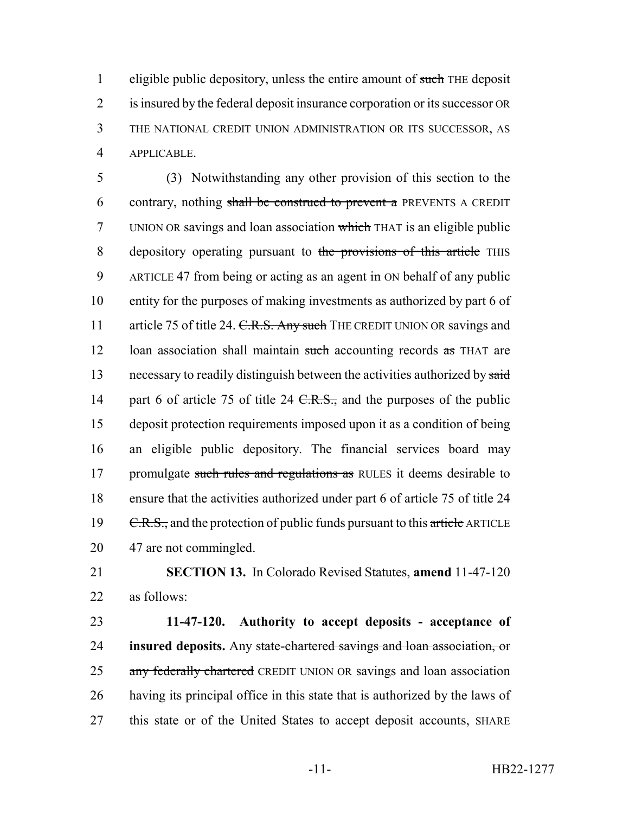1 eligible public depository, unless the entire amount of such THE deposit is insured by the federal deposit insurance corporation or its successor OR THE NATIONAL CREDIT UNION ADMINISTRATION OR ITS SUCCESSOR, AS APPLICABLE.

5 (3) Notwithstanding any other provision of this section to the 6 contrary, nothing shall be construed to prevent a PREVENTS A CREDIT 7 UNION OR savings and loan association which THAT is an eligible public 8 depository operating pursuant to the provisions of this article THIS 9 ARTICLE 47 from being or acting as an agent  $\frac{1}{2}$  on behalf of any public 10 entity for the purposes of making investments as authorized by part 6 of 11 article 75 of title 24. C.R.S. Any such THE CREDIT UNION OR savings and 12 loan association shall maintain such accounting records as THAT are 13 necessary to readily distinguish between the activities authorized by said 14 part 6 of article 75 of title 24 C.R.S., and the purposes of the public 15 deposit protection requirements imposed upon it as a condition of being 16 an eligible public depository. The financial services board may 17 promulgate such rules and regulations as RULES it deems desirable to 18 ensure that the activities authorized under part 6 of article 75 of title 24 19  $C.R.S.,$  and the protection of public funds pursuant to this article ARTICLE 20 47 are not commingled.

21 **SECTION 13.** In Colorado Revised Statutes, **amend** 11-47-120 22 as follows:

 **11-47-120. Authority to accept deposits - acceptance of insured deposits.** Any state-chartered savings and loan association, or 25 any federally chartered CREDIT UNION OR savings and loan association having its principal office in this state that is authorized by the laws of this state or of the United States to accept deposit accounts, SHARE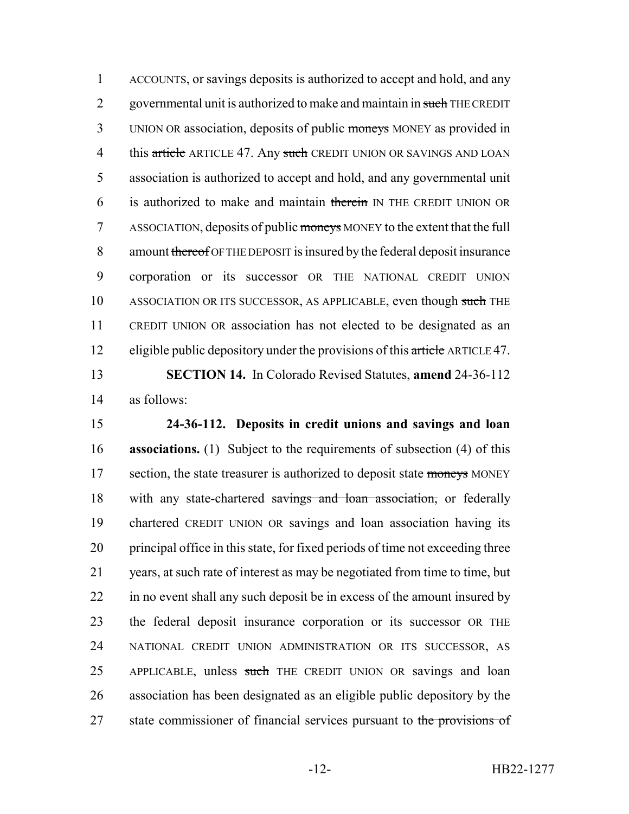1 ACCOUNTS, or savings deposits is authorized to accept and hold, and any 2 governmental unit is authorized to make and maintain in such THE CREDIT 3 UNION OR association, deposits of public moneys MONEY as provided in 4 this article ARTICLE 47. Any such CREDIT UNION OR SAVINGS AND LOAN 5 association is authorized to accept and hold, and any governmental unit 6 is authorized to make and maintain therein IN THE CREDIT UNION OR 7 ASSOCIATION, deposits of public moneys MONEY to the extent that the full 8 amount thereof OF THE DEPOSIT is insured by the federal deposit insurance 9 corporation or its successor OR THE NATIONAL CREDIT UNION 10 ASSOCIATION OR ITS SUCCESSOR, AS APPLICABLE, even though such THE 11 CREDIT UNION OR association has not elected to be designated as an 12 eligible public depository under the provisions of this article ARTICLE 47. 13 **SECTION 14.** In Colorado Revised Statutes, **amend** 24-36-112

14 as follows:

15 **24-36-112. Deposits in credit unions and savings and loan** 16 **associations.** (1) Subject to the requirements of subsection (4) of this 17 section, the state treasurer is authorized to deposit state moneys MONEY 18 with any state-chartered savings and loan association, or federally 19 chartered CREDIT UNION OR savings and loan association having its 20 principal office in this state, for fixed periods of time not exceeding three 21 years, at such rate of interest as may be negotiated from time to time, but 22 in no event shall any such deposit be in excess of the amount insured by 23 the federal deposit insurance corporation or its successor OR THE 24 NATIONAL CREDIT UNION ADMINISTRATION OR ITS SUCCESSOR, AS 25 APPLICABLE, unless such THE CREDIT UNION OR savings and loan 26 association has been designated as an eligible public depository by the 27 state commissioner of financial services pursuant to the provisions of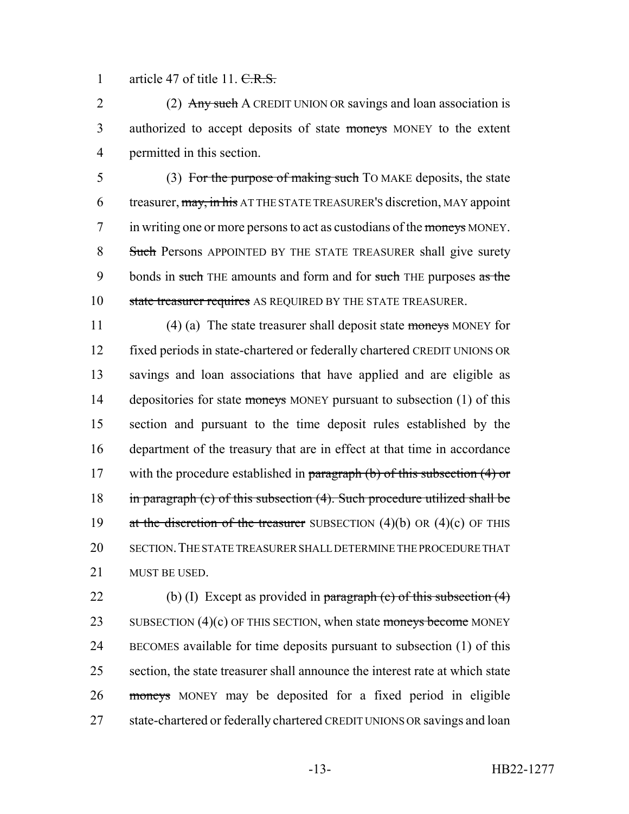1 article 47 of title 11. C.R.S.

2 (2) Any such A CREDIT UNION OR savings and loan association is 3 authorized to accept deposits of state moneys MONEY to the extent 4 permitted in this section.

5 (3) For the purpose of making such TO MAKE deposits, the state 6 treasurer, may, in his AT THE STATE TREASURER'S discretion, MAY appoint 7 in writing one or more persons to act as custodians of the moneys MONEY. 8 Such Persons APPOINTED BY THE STATE TREASURER shall give surety 9 bonds in such THE amounts and form and for such THE purposes as the 10 state treasurer requires AS REQUIRED BY THE STATE TREASURER.

11 (4) (a) The state treasurer shall deposit state moneys MONEY for fixed periods in state-chartered or federally chartered CREDIT UNIONS OR savings and loan associations that have applied and are eligible as 14 depositories for state moneys MONEY pursuant to subsection (1) of this section and pursuant to the time deposit rules established by the department of the treasury that are in effect at that time in accordance 17 with the procedure established in paragraph  $(b)$  of this subsection  $(4)$  or in paragraph (c) of this subsection (4). Such procedure utilized shall be 19 at the discretion of the treasurer SUBSECTION  $(4)(b)$  OR  $(4)(c)$  OF THIS SECTION.THE STATE TREASURER SHALL DETERMINE THE PROCEDURE THAT MUST BE USED.

22 (b) (I) Except as provided in paragraph (c) of this subsection  $(4)$ 23 SUBSECTION  $(4)(c)$  OF THIS SECTION, when state moneys become MONEY 24 BECOMES available for time deposits pursuant to subsection (1) of this 25 section, the state treasurer shall announce the interest rate at which state 26 moneys MONEY may be deposited for a fixed period in eligible 27 state-chartered or federally chartered CREDIT UNIONS OR savings and loan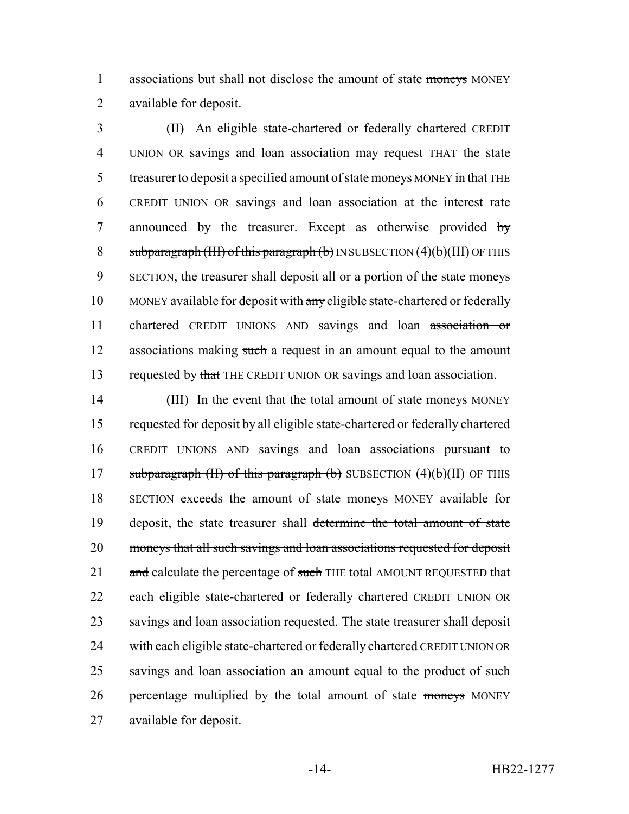1 associations but shall not disclose the amount of state moneys MONEY 2 available for deposit.

3 (II) An eligible state-chartered or federally chartered CREDIT 4 UNION OR savings and loan association may request THAT the state 5 treasurer to deposit a specified amount of state moneys MONEY in that THE 6 CREDIT UNION OR savings and loan association at the interest rate 7 announced by the treasurer. Except as otherwise provided by 8 subparagraph (III) of this paragraph (b) IN SUBSECTION  $(4)(b)$  (III) OF THIS 9 SECTION, the treasurer shall deposit all or a portion of the state moneys 10 MONEY available for deposit with any eligible state-chartered or federally 11 chartered CREDIT UNIONS AND savings and loan association or 12 associations making such a request in an amount equal to the amount 13 requested by that THE CREDIT UNION OR savings and loan association.

14 (III) In the event that the total amount of state moneys MONEY 15 requested for deposit by all eligible state-chartered or federally chartered 16 CREDIT UNIONS AND savings and loan associations pursuant to 17 subparagraph (II) of this paragraph (b) SUBSECTION  $(4)(b)(II)$  OF THIS 18 SECTION exceeds the amount of state moneys MONEY available for 19 deposit, the state treasurer shall determine the total amount of state 20 moneys that all such savings and loan associations requested for deposit 21 and calculate the percentage of such THE total AMOUNT REQUESTED that 22 each eligible state-chartered or federally chartered CREDIT UNION OR 23 savings and loan association requested. The state treasurer shall deposit 24 with each eligible state-chartered or federally chartered CREDIT UNION OR 25 savings and loan association an amount equal to the product of such 26 percentage multiplied by the total amount of state moneys MONEY 27 available for deposit.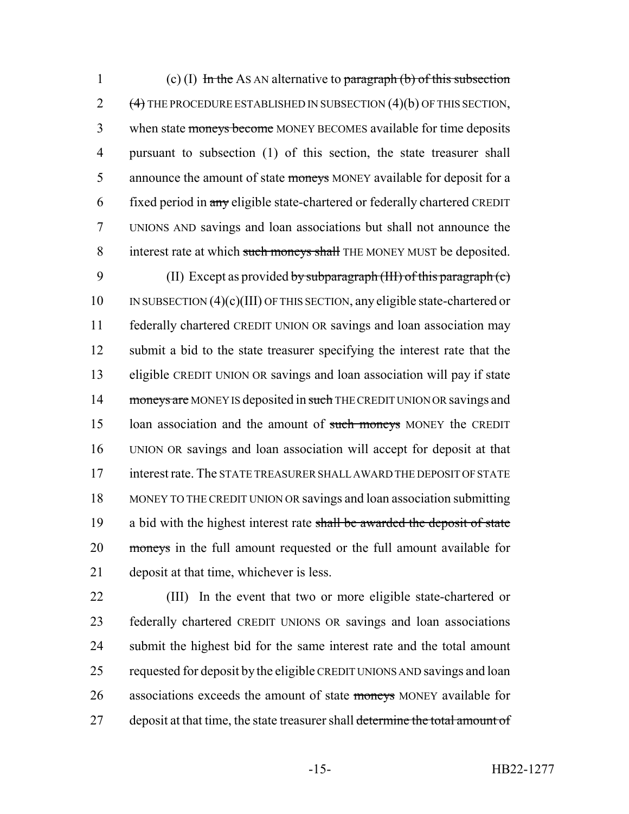1 (c) (I) In the AS AN alternative to paragraph (b) of this subsection 2  $(4)$  THE PROCEDURE ESTABLISHED IN SUBSECTION  $(4)(b)$  OF THIS SECTION, 3 when state moneys become MONEY BECOMES available for time deposits 4 pursuant to subsection (1) of this section, the state treasurer shall 5 announce the amount of state moneys MONEY available for deposit for a 6 fixed period in any eligible state-chartered or federally chartered CREDIT 7 UNIONS AND savings and loan associations but shall not announce the 8 interest rate at which such moneys shall THE MONEY MUST be deposited.

9 (II) Except as provided by subparagraph (III) of this paragraph (c) IN SUBSECTION (4)(c)(III) OF THIS SECTION, any eligible state-chartered or federally chartered CREDIT UNION OR savings and loan association may submit a bid to the state treasurer specifying the interest rate that the eligible CREDIT UNION OR savings and loan association will pay if state 14 moneys are MONEY IS deposited in such THE CREDIT UNION OR savings and 15 loan association and the amount of such moneys MONEY the CREDIT UNION OR savings and loan association will accept for deposit at that interest rate. The STATE TREASURER SHALL AWARD THE DEPOSIT OF STATE MONEY TO THE CREDIT UNION OR savings and loan association submitting 19 a bid with the highest interest rate shall be awarded the deposit of state 20 moneys in the full amount requested or the full amount available for deposit at that time, whichever is less.

22 (III) In the event that two or more eligible state-chartered or 23 federally chartered CREDIT UNIONS OR savings and loan associations 24 submit the highest bid for the same interest rate and the total amount 25 requested for deposit by the eligible CREDIT UNIONS AND savings and loan 26 associations exceeds the amount of state moneys MONEY available for 27 deposit at that time, the state treasurer shall determine the total amount of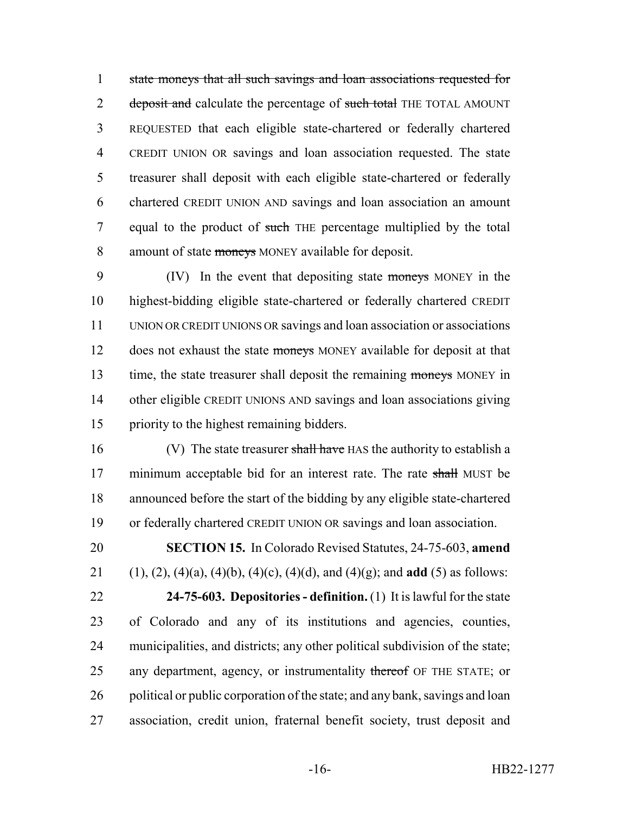state moneys that all such savings and loan associations requested for 2 deposit and calculate the percentage of such total THE TOTAL AMOUNT REQUESTED that each eligible state-chartered or federally chartered CREDIT UNION OR savings and loan association requested. The state treasurer shall deposit with each eligible state-chartered or federally chartered CREDIT UNION AND savings and loan association an amount 7 equal to the product of such THE percentage multiplied by the total 8 amount of state moneys MONEY available for deposit.

9 (IV) In the event that depositing state moneys MONEY in the highest-bidding eligible state-chartered or federally chartered CREDIT UNION OR CREDIT UNIONS OR savings and loan association or associations 12 does not exhaust the state moneys MONEY available for deposit at that 13 time, the state treasurer shall deposit the remaining moneys MONEY in other eligible CREDIT UNIONS AND savings and loan associations giving priority to the highest remaining bidders.

16 (V) The state treasurer shall have HAS the authority to establish a 17 minimum acceptable bid for an interest rate. The rate shall MUST be announced before the start of the bidding by any eligible state-chartered or federally chartered CREDIT UNION OR savings and loan association.

 **SECTION 15.** In Colorado Revised Statutes, 24-75-603, **amend** (1), (2), (4)(a), (4)(b), (4)(c), (4)(d), and (4)(g); and **add** (5) as follows: **24-75-603. Depositories - definition.** (1) It is lawful for the state

 of Colorado and any of its institutions and agencies, counties, municipalities, and districts; any other political subdivision of the state; 25 any department, agency, or instrumentality thereof OF THE STATE; or 26 political or public corporation of the state; and any bank, savings and loan association, credit union, fraternal benefit society, trust deposit and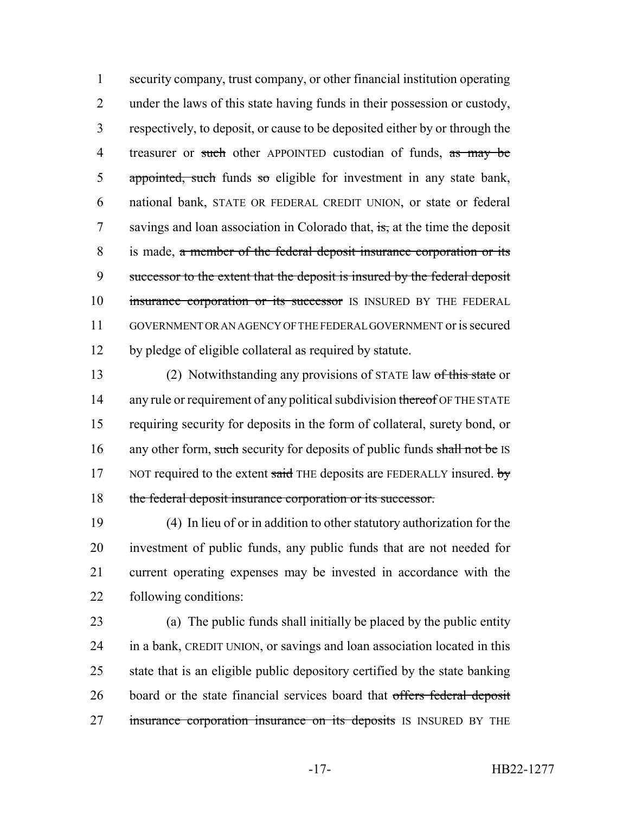security company, trust company, or other financial institution operating under the laws of this state having funds in their possession or custody, respectively, to deposit, or cause to be deposited either by or through the 4 treasurer or such other APPOINTED custodian of funds, as may be 5 appointed, such funds so eligible for investment in any state bank, national bank, STATE OR FEDERAL CREDIT UNION, or state or federal 7 savings and loan association in Colorado that, is, at the time the deposit is made, a member of the federal deposit insurance corporation or its successor to the extent that the deposit is insured by the federal deposit 10 insurance corporation or its successor IS INSURED BY THE FEDERAL GOVERNMENT OR AN AGENCY OF THE FEDERAL GOVERNMENT or is secured by pledge of eligible collateral as required by statute.

13 (2) Notwithstanding any provisions of STATE law of this state or 14 any rule or requirement of any political subdivision thereof OF THE STATE requiring security for deposits in the form of collateral, surety bond, or 16 any other form, such security for deposits of public funds shall not be IS 17 NOT required to the extent said THE deposits are FEDERALLY insured. by the federal deposit insurance corporation or its successor.

 (4) In lieu of or in addition to other statutory authorization for the investment of public funds, any public funds that are not needed for current operating expenses may be invested in accordance with the following conditions:

 (a) The public funds shall initially be placed by the public entity in a bank, CREDIT UNION, or savings and loan association located in this state that is an eligible public depository certified by the state banking 26 board or the state financial services board that offers federal deposit 27 insurance corporation insurance on its deposits IS INSURED BY THE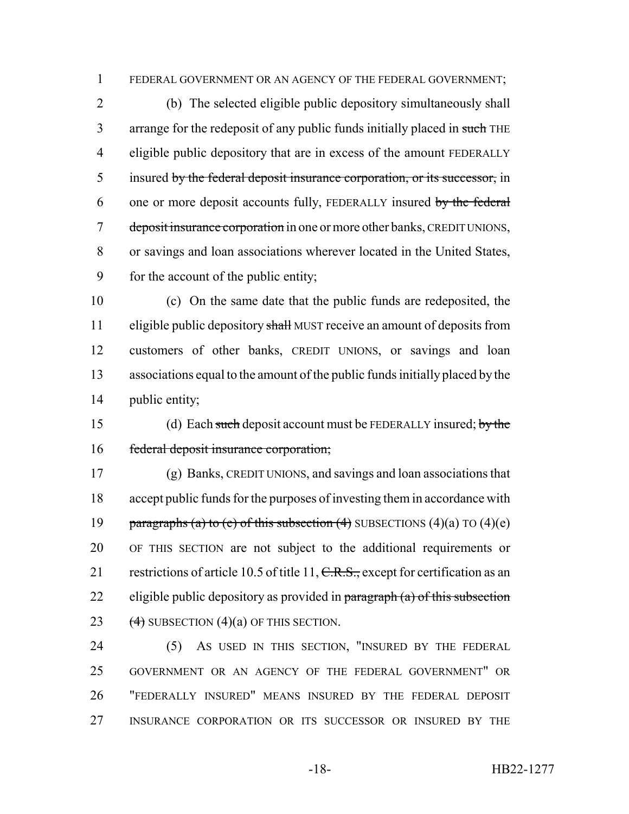FEDERAL GOVERNMENT OR AN AGENCY OF THE FEDERAL GOVERNMENT;

 (b) The selected eligible public depository simultaneously shall 3 arrange for the redeposit of any public funds initially placed in such THE eligible public depository that are in excess of the amount FEDERALLY 5 insured by the federal deposit insurance corporation, or its successor, in 6 one or more deposit accounts fully, FEDERALLY insured by the federal 7 deposit insurance corporation in one or more other banks, CREDIT UNIONS, or savings and loan associations wherever located in the United States, for the account of the public entity;

 (c) On the same date that the public funds are redeposited, the 11 eligible public depository shall MUST receive an amount of deposits from customers of other banks, CREDIT UNIONS, or savings and loan associations equal to the amount of the public funds initially placed by the public entity;

15 (d) Each such deposit account must be FEDERALLY insured; by the federal deposit insurance corporation;

 (g) Banks, CREDIT UNIONS, and savings and loan associations that accept public funds for the purposes of investing them in accordance with 19 paragraphs (a) to (e) of this subsection (4) SUBSECTIONS (4)(a) TO (4)(e) OF THIS SECTION are not subject to the additional requirements or 21 restrictions of article 10.5 of title 11, C.R.S., except for certification as an 22 eligible public depository as provided in  $\frac{1}{2}$  paragraph (a) of this subsection 23  $(4)$  SUBSECTION  $(4)(a)$  OF THIS SECTION.

 (5) AS USED IN THIS SECTION, "INSURED BY THE FEDERAL GOVERNMENT OR AN AGENCY OF THE FEDERAL GOVERNMENT" OR "FEDERALLY INSURED" MEANS INSURED BY THE FEDERAL DEPOSIT INSURANCE CORPORATION OR ITS SUCCESSOR OR INSURED BY THE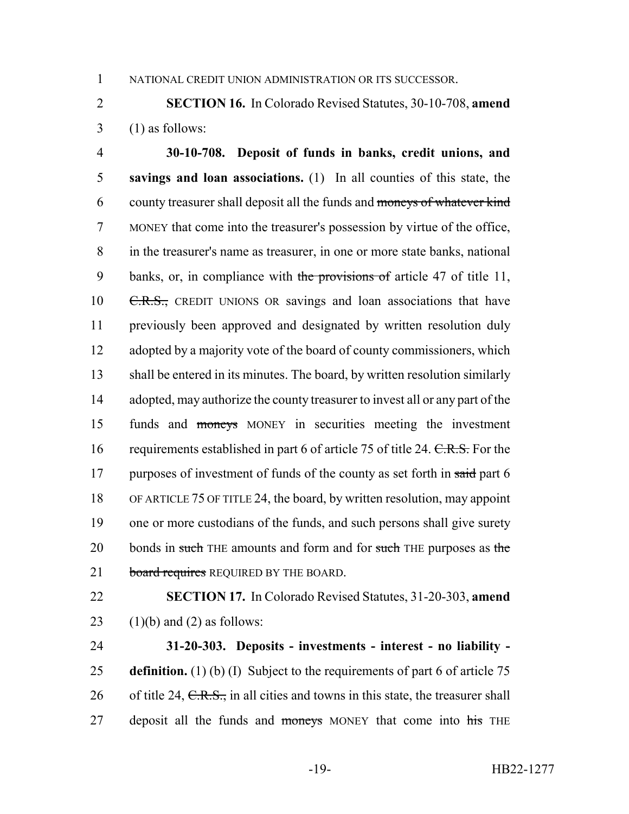1 NATIONAL CREDIT UNION ADMINISTRATION OR ITS SUCCESSOR.

2 **SECTION 16.** In Colorado Revised Statutes, 30-10-708, **amend**  $3$  (1) as follows:

4 **30-10-708. Deposit of funds in banks, credit unions, and** 5 **savings and loan associations.** (1) In all counties of this state, the 6 county treasurer shall deposit all the funds and moneys of whatever kind 7 MONEY that come into the treasurer's possession by virtue of the office, 8 in the treasurer's name as treasurer, in one or more state banks, national 9 banks, or, in compliance with the provisions of article 47 of title 11, 10 <del>C.R.S.,</del> CREDIT UNIONS OR savings and loan associations that have 11 previously been approved and designated by written resolution duly 12 adopted by a majority vote of the board of county commissioners, which 13 shall be entered in its minutes. The board, by written resolution similarly 14 adopted, may authorize the county treasurer to invest all or any part of the 15 funds and moneys MONEY in securities meeting the investment 16 requirements established in part 6 of article 75 of title 24. C.R.S. For the 17 purposes of investment of funds of the county as set forth in said part 6 18 OF ARTICLE 75 OF TITLE 24, the board, by written resolution, may appoint 19 one or more custodians of the funds, and such persons shall give surety 20 bonds in such THE amounts and form and for such THE purposes as the 21 board requires REQUIRED BY THE BOARD.

22 **SECTION 17.** In Colorado Revised Statutes, 31-20-303, **amend** 23  $(1)(b)$  and  $(2)$  as follows:

24 **31-20-303. Deposits - investments - interest - no liability -** 25 **definition.** (1) (b) (I) Subject to the requirements of part 6 of article 75 26 of title 24,  $C.R.S.,$  in all cities and towns in this state, the treasurer shall 27 deposit all the funds and moneys MONEY that come into his THE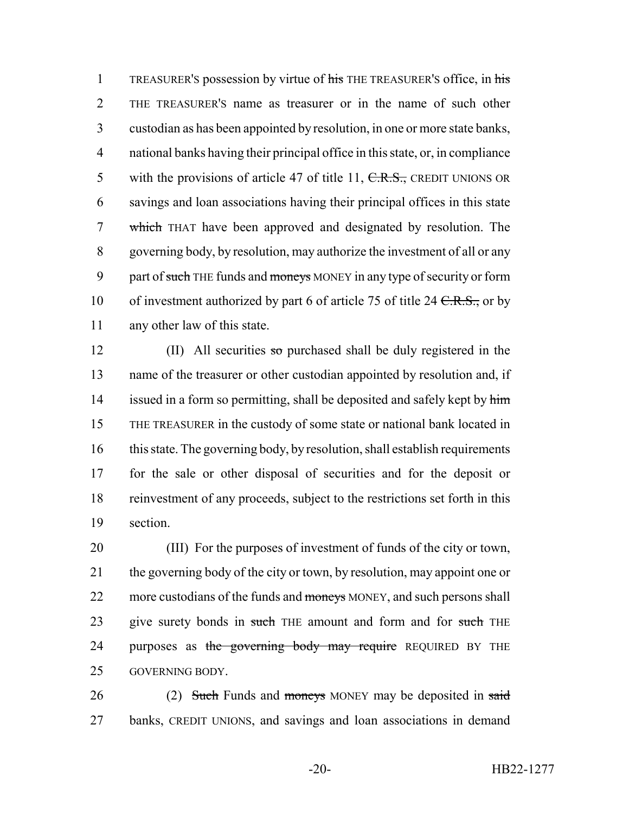1 TREASURER'S possession by virtue of his THE TREASURER'S office, in his THE TREASURER'S name as treasurer or in the name of such other custodian as has been appointed by resolution, in one or more state banks, national banks having their principal office in this state, or, in compliance 5 with the provisions of article 47 of title 11,  $C.R.S.,$  CREDIT UNIONS OR savings and loan associations having their principal offices in this state which THAT have been approved and designated by resolution. The governing body, by resolution, may authorize the investment of all or any 9 part of such THE funds and moneys MONEY in any type of security or form 10 of investment authorized by part 6 of article 75 of title 24  $C.R.S.,$  or by any other law of this state.

12 (II) All securities so purchased shall be duly registered in the name of the treasurer or other custodian appointed by resolution and, if 14 issued in a form so permitting, shall be deposited and safely kept by him THE TREASURER in the custody of some state or national bank located in this state. The governing body, by resolution, shall establish requirements for the sale or other disposal of securities and for the deposit or reinvestment of any proceeds, subject to the restrictions set forth in this 19 section.

20 (III) For the purposes of investment of funds of the city or town, 21 the governing body of the city or town, by resolution, may appoint one or 22 more custodians of the funds and moneys MONEY, and such persons shall 23 give surety bonds in such THE amount and form and for such THE 24 purposes as the governing body may require REQUIRED BY THE 25 GOVERNING BODY.

26 (2) Such Funds and moneys MONEY may be deposited in said 27 banks, CREDIT UNIONS, and savings and loan associations in demand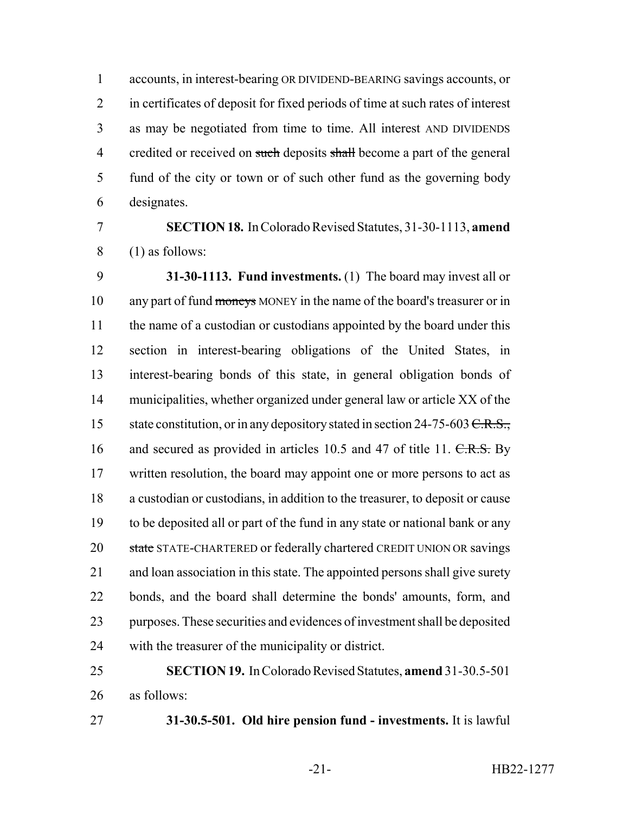accounts, in interest-bearing OR DIVIDEND-BEARING savings accounts, or in certificates of deposit for fixed periods of time at such rates of interest as may be negotiated from time to time. All interest AND DIVIDENDS 4 credited or received on such deposits shall become a part of the general fund of the city or town or of such other fund as the governing body designates.

# **SECTION 18.** In Colorado Revised Statutes, 31-30-1113, **amend** (1) as follows:

 **31-30-1113. Fund investments.** (1) The board may invest all or 10 any part of fund moneys MONEY in the name of the board's treasurer or in 11 the name of a custodian or custodians appointed by the board under this section in interest-bearing obligations of the United States, in interest-bearing bonds of this state, in general obligation bonds of municipalities, whether organized under general law or article XX of the 15 state constitution, or in any depository stated in section 24-75-603 <del>C.R.S.,</del> 16 and secured as provided in articles 10.5 and 47 of title 11. C.R.S. By 17 written resolution, the board may appoint one or more persons to act as a custodian or custodians, in addition to the treasurer, to deposit or cause to be deposited all or part of the fund in any state or national bank or any 20 state STATE-CHARTERED or federally chartered CREDIT UNION OR savings and loan association in this state. The appointed persons shall give surety bonds, and the board shall determine the bonds' amounts, form, and purposes. These securities and evidences of investment shall be deposited with the treasurer of the municipality or district.

# **SECTION 19.** In Colorado Revised Statutes, **amend** 31-30.5-501 as follows:

**31-30.5-501. Old hire pension fund - investments.** It is lawful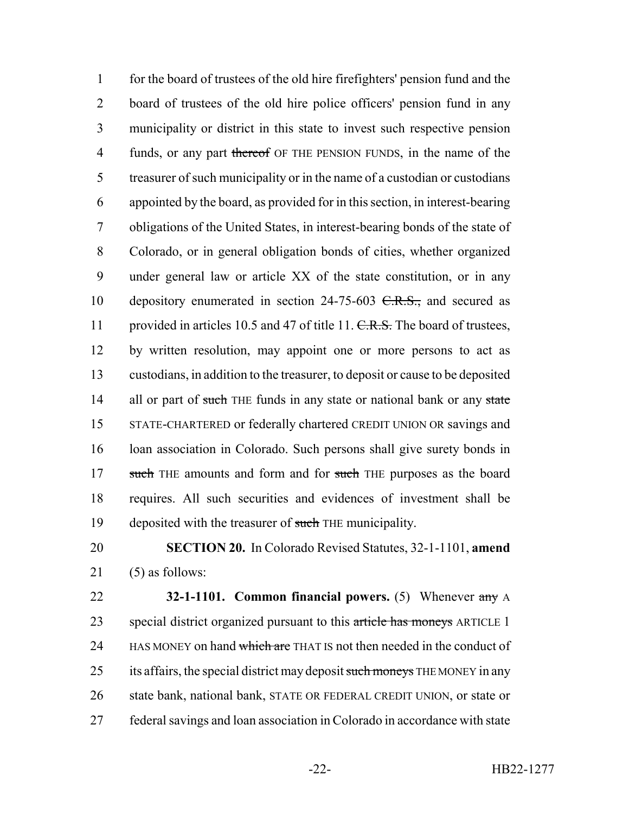for the board of trustees of the old hire firefighters' pension fund and the board of trustees of the old hire police officers' pension fund in any municipality or district in this state to invest such respective pension 4 funds, or any part thereof OF THE PENSION FUNDS, in the name of the treasurer of such municipality or in the name of a custodian or custodians appointed by the board, as provided for in this section, in interest-bearing obligations of the United States, in interest-bearing bonds of the state of Colorado, or in general obligation bonds of cities, whether organized under general law or article XX of the state constitution, or in any 10 depository enumerated in section 24-75-603 <del>C.R.S.,</del> and secured as 11 provided in articles 10.5 and 47 of title 11. C.R.S. The board of trustees, by written resolution, may appoint one or more persons to act as custodians, in addition to the treasurer, to deposit or cause to be deposited 14 all or part of such THE funds in any state or national bank or any state STATE-CHARTERED or federally chartered CREDIT UNION OR savings and 16 loan association in Colorado. Such persons shall give surety bonds in 17 such THE amounts and form and for such THE purposes as the board requires. All such securities and evidences of investment shall be 19 deposited with the treasurer of such THE municipality.

20 **SECTION 20.** In Colorado Revised Statutes, 32-1-1101, **amend** 21 (5) as follows:

22 **32-1-1101. Common financial powers.** (5) Whenever any A 23 special district organized pursuant to this article has moneys ARTICLE 1 24 HAS MONEY on hand which are THAT IS not then needed in the conduct of 25 its affairs, the special district may deposit such moneys THE MONEY in any 26 state bank, national bank, STATE OR FEDERAL CREDIT UNION, or state or 27 federal savings and loan association in Colorado in accordance with state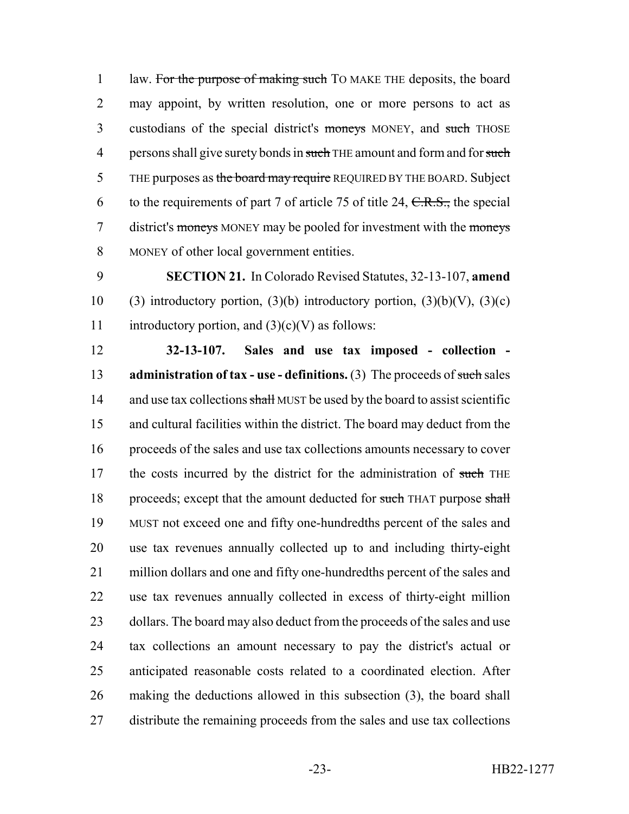1 law. For the purpose of making such TO MAKE THE deposits, the board 2 may appoint, by written resolution, one or more persons to act as 3 custodians of the special district's moneys MONEY, and such THOSE 4 persons shall give surety bonds in such THE amount and form and for such 5 THE purposes as the board may require REQUIRED BY THE BOARD. Subject 6 to the requirements of part 7 of article 75 of title 24,  $C.R.S.,$  the special 7 district's moneys MONEY may be pooled for investment with the moneys 8 MONEY of other local government entities.

9 **SECTION 21.** In Colorado Revised Statutes, 32-13-107, **amend** 10 (3) introductory portion, (3)(b) introductory portion, (3)(b)(V), (3)(c) 11 introductory portion, and  $(3)(c)(V)$  as follows:

 **32-13-107. Sales and use tax imposed - collection - administration of tax - use - definitions.** (3) The proceeds of such sales 14 and use tax collections shall MUST be used by the board to assist scientific and cultural facilities within the district. The board may deduct from the proceeds of the sales and use tax collections amounts necessary to cover 17 the costs incurred by the district for the administration of such THE 18 proceeds; except that the amount deducted for such THAT purpose shall MUST not exceed one and fifty one-hundredths percent of the sales and use tax revenues annually collected up to and including thirty-eight million dollars and one and fifty one-hundredths percent of the sales and use tax revenues annually collected in excess of thirty-eight million 23 dollars. The board may also deduct from the proceeds of the sales and use tax collections an amount necessary to pay the district's actual or anticipated reasonable costs related to a coordinated election. After making the deductions allowed in this subsection (3), the board shall distribute the remaining proceeds from the sales and use tax collections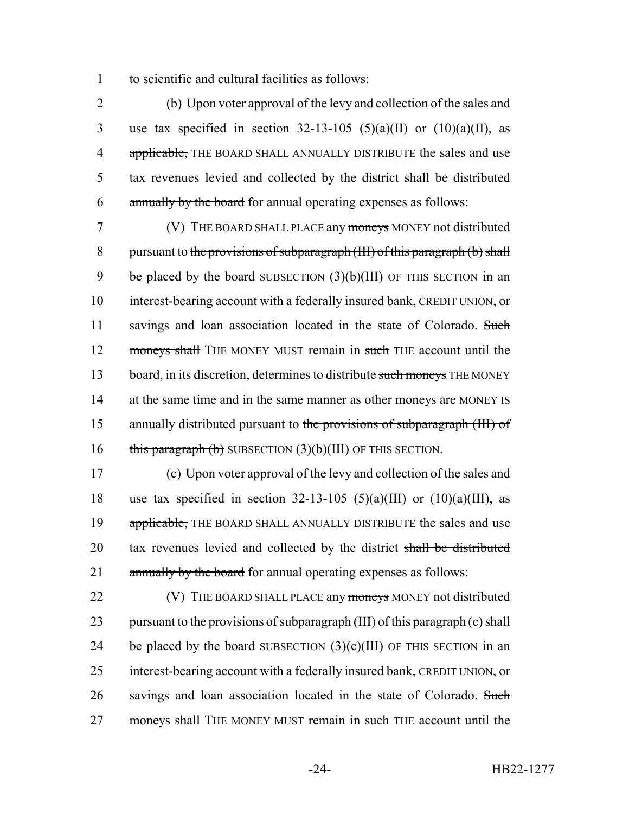1 to scientific and cultural facilities as follows:

2 (b) Upon voter approval of the levy and collection of the sales and 3 use tax specified in section 32-13-105  $\left(\frac{5}{a}\right)(\frac{1}{b})$  or (10)(a)(II), as 4 applicable, THE BOARD SHALL ANNUALLY DISTRIBUTE the sales and use 5 tax revenues levied and collected by the district shall be distributed 6 annually by the board for annual operating expenses as follows:

7 (V) THE BOARD SHALL PLACE any moneys MONEY not distributed 8 pursuant to the provisions of subparagraph  $(HI)$  of this paragraph  $(b)$  shall 9 be placed by the board SUBSECTION  $(3)(b)(III)$  OF THIS SECTION in an 10 interest-bearing account with a federally insured bank, CREDIT UNION, or 11 savings and loan association located in the state of Colorado. Such 12 moneys shall THE MONEY MUST remain in such THE account until the 13 board, in its discretion, determines to distribute such moneys THE MONEY 14 at the same time and in the same manner as other moneys are MONEY IS 15 annually distributed pursuant to the provisions of subparagraph (III) of 16 this paragraph  $(b)$  SUBSECTION  $(3)(b)(III)$  OF THIS SECTION.

17 (c) Upon voter approval of the levy and collection of the sales and 18 use tax specified in section 32-13-105  $\left(\frac{5}{a}\right)(\text{HII})$  or  $(10)(a)(\text{III})$ , as 19 applicable, THE BOARD SHALL ANNUALLY DISTRIBUTE the sales and use 20 tax revenues levied and collected by the district shall be distributed 21 annually by the board for annual operating expenses as follows:

22 (V) THE BOARD SHALL PLACE any moneys MONEY not distributed 23 pursuant to the provisions of subparagraph (III) of this paragraph  $(c)$  shall 24 be placed by the board SUBSECTION  $(3)(c)(III)$  OF THIS SECTION in an 25 interest-bearing account with a federally insured bank, CREDIT UNION, or 26 savings and loan association located in the state of Colorado. Such 27 moneys shall THE MONEY MUST remain in such THE account until the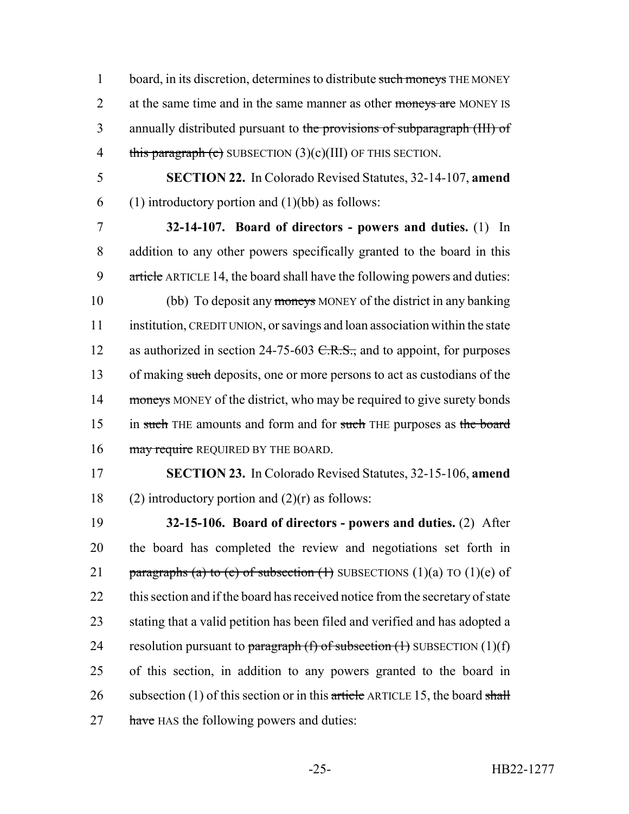1 board, in its discretion, determines to distribute such moneys THE MONEY 2 at the same time and in the same manner as other moneys are MONEY IS 3 annually distributed pursuant to the provisions of subparagraph (III) of 4 this paragraph (c) SUBSECTION  $(3)(c)(III)$  OF THIS SECTION.

5 **SECTION 22.** In Colorado Revised Statutes, 32-14-107, **amend** 6 (1) introductory portion and  $(1)(bb)$  as follows:

7 **32-14-107. Board of directors - powers and duties.** (1) In 8 addition to any other powers specifically granted to the board in this 9 article ARTICLE 14, the board shall have the following powers and duties: 10 (bb) To deposit any moneys MONEY of the district in any banking 11 institution, CREDIT UNION, or savings and loan association within the state 12 as authorized in section 24-75-603  $C.R.S.,$  and to appoint, for purposes 13 of making such deposits, one or more persons to act as custodians of the 14 moneys MONEY of the district, who may be required to give surety bonds 15 in such THE amounts and form and for such THE purposes as the board 16 may require REQUIRED BY THE BOARD.

17 **SECTION 23.** In Colorado Revised Statutes, 32-15-106, **amend** 18 (2) introductory portion and  $(2)(r)$  as follows:

19 **32-15-106. Board of directors - powers and duties.** (2) After 20 the board has completed the review and negotiations set forth in 21 paragraphs (a) to (e) of subsection  $(1)$  SUBSECTIONS  $(1)(a)$  TO  $(1)(e)$  of 22 this section and if the board has received notice from the secretary of state 23 stating that a valid petition has been filed and verified and has adopted a 24 resolution pursuant to paragraph  $(f)$  of subsection  $(f)$  SUBSECTION  $(1)(f)$ 25 of this section, in addition to any powers granted to the board in 26 subsection (1) of this section or in this article ARTICLE 15, the board shall 27 have HAS the following powers and duties: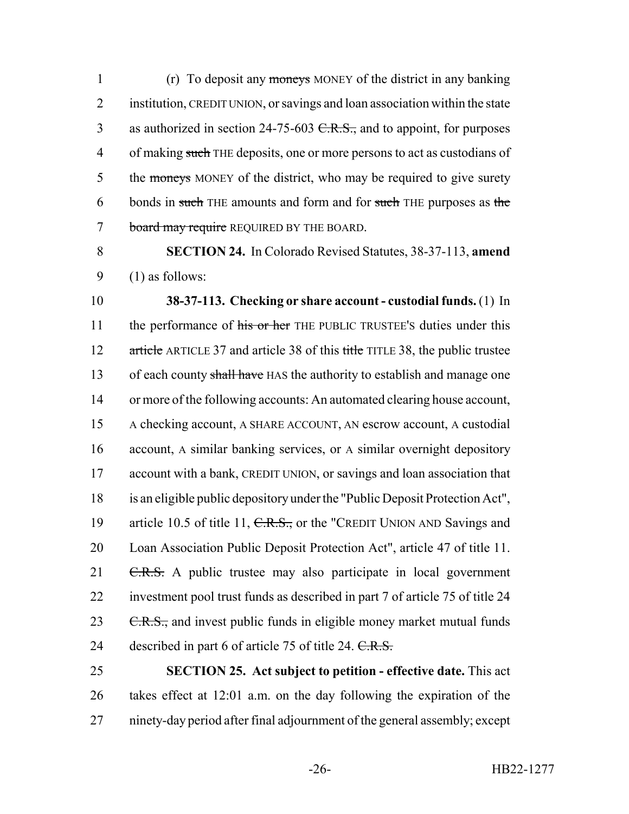1 (r) To deposit any moneys MONEY of the district in any banking 2 institution, CREDIT UNION, or savings and loan association within the state 3 as authorized in section 24-75-603 <del>C.R.S.,</del> and to appoint, for purposes 4 of making such THE deposits, one or more persons to act as custodians of 5 the moneys MONEY of the district, who may be required to give surety 6 bonds in such THE amounts and form and for such THE purposes as the 7 board may require REQUIRED BY THE BOARD.

8 **SECTION 24.** In Colorado Revised Statutes, 38-37-113, **amend** 9 (1) as follows:

10 **38-37-113. Checking or share account - custodial funds.** (1) In 11 the performance of his or her THE PUBLIC TRUSTEE's duties under this 12 article ARTICLE 37 and article 38 of this title TITLE 38, the public trustee 13 of each county shall have HAS the authority to establish and manage one 14 or more of the following accounts: An automated clearing house account, 15 A checking account, A SHARE ACCOUNT, AN escrow account, A custodial 16 account, A similar banking services, or A similar overnight depository 17 account with a bank, CREDIT UNION, or savings and loan association that 18 is an eligible public depository under the "Public Deposit Protection Act", 19 article 10.5 of title 11, C.R.S., or the "CREDIT UNION AND Savings and 20 Loan Association Public Deposit Protection Act", article 47 of title 11. 21 C.R.S. A public trustee may also participate in local government 22 investment pool trust funds as described in part 7 of article 75 of title 24 23 C.R.S., and invest public funds in eligible money market mutual funds 24 described in part 6 of article 75 of title 24. C.R.S.

25 **SECTION 25. Act subject to petition - effective date.** This act 26 takes effect at 12:01 a.m. on the day following the expiration of the 27 ninety-day period after final adjournment of the general assembly; except